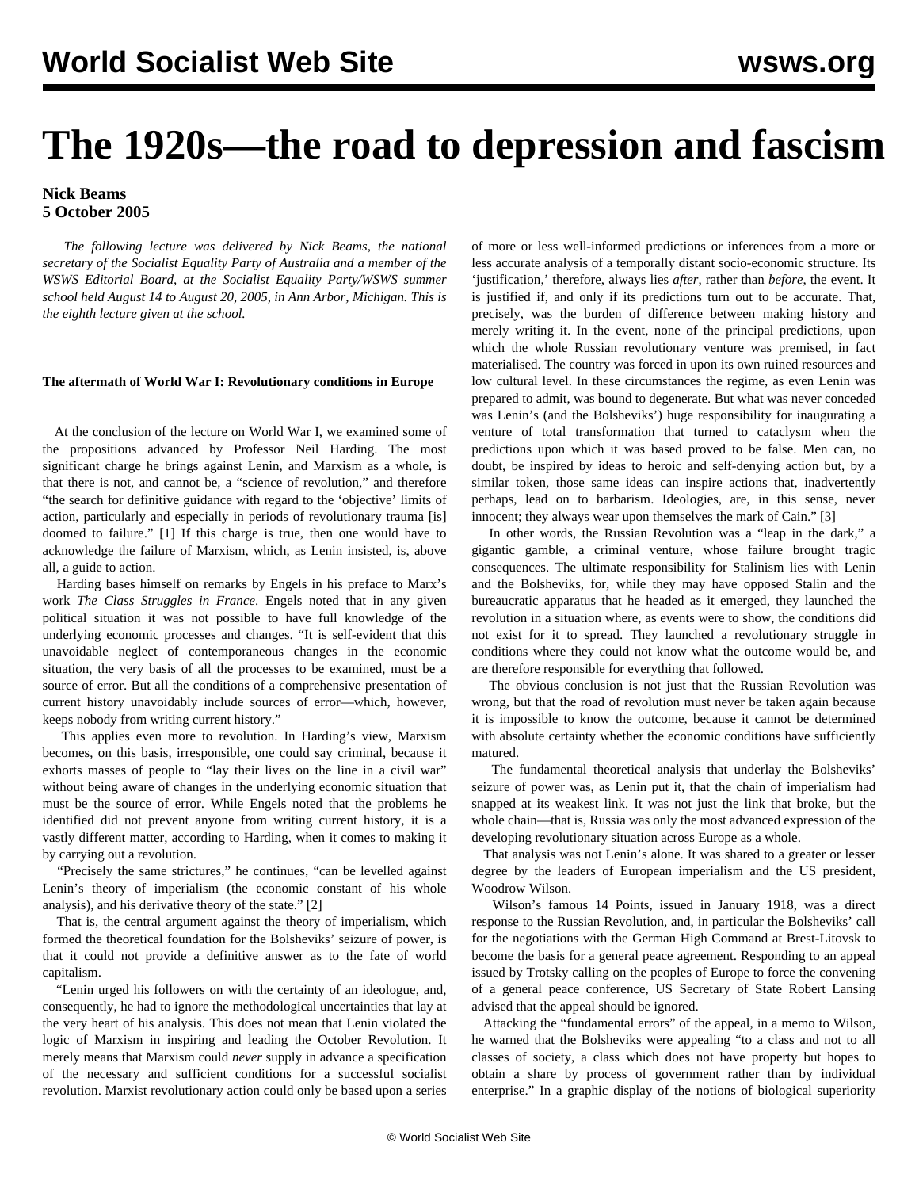# **The 1920s—the road to depression and fascism**

# **Nick Beams 5 October 2005**

 *The following lecture was delivered by Nick Beams, the national secretary of the Socialist Equality Party of Australia and a member of the WSWS Editorial Board, at the Socialist Equality Party/WSWS summer school held August 14 to August 20, 2005, in Ann Arbor, Michigan. This is the eighth lecture given at the school.*

# **The aftermath of World War I: Revolutionary conditions in Europe**

 At the conclusion of the lecture on World War I, we examined some of the propositions advanced by Professor Neil Harding. The most significant charge he brings against Lenin, and Marxism as a whole, is that there is not, and cannot be, a "science of revolution," and therefore "the search for definitive guidance with regard to the 'objective' limits of action, particularly and especially in periods of revolutionary trauma [is] doomed to failure." [1] If this charge is true, then one would have to acknowledge the failure of Marxism, which, as Lenin insisted, is, above all, a guide to action.

 Harding bases himself on remarks by Engels in his preface to Marx's work *The Class Struggles in France*. Engels noted that in any given political situation it was not possible to have full knowledge of the underlying economic processes and changes. "It is self-evident that this unavoidable neglect of contemporaneous changes in the economic situation, the very basis of all the processes to be examined, must be a source of error. But all the conditions of a comprehensive presentation of current history unavoidably include sources of error—which, however, keeps nobody from writing current history."

 This applies even more to revolution. In Harding's view, Marxism becomes, on this basis, irresponsible, one could say criminal, because it exhorts masses of people to "lay their lives on the line in a civil war" without being aware of changes in the underlying economic situation that must be the source of error. While Engels noted that the problems he identified did not prevent anyone from writing current history, it is a vastly different matter, according to Harding, when it comes to making it by carrying out a revolution.

 "Precisely the same strictures," he continues, "can be levelled against Lenin's theory of imperialism (the economic constant of his whole analysis), and his derivative theory of the state." [2]

 That is, the central argument against the theory of imperialism, which formed the theoretical foundation for the Bolsheviks' seizure of power, is that it could not provide a definitive answer as to the fate of world capitalism.

 "Lenin urged his followers on with the certainty of an ideologue, and, consequently, he had to ignore the methodological uncertainties that lay at the very heart of his analysis. This does not mean that Lenin violated the logic of Marxism in inspiring and leading the October Revolution. It merely means that Marxism could *never* supply in advance a specification of the necessary and sufficient conditions for a successful socialist revolution. Marxist revolutionary action could only be based upon a series

of more or less well-informed predictions or inferences from a more or less accurate analysis of a temporally distant socio-economic structure. Its 'justification,' therefore, always lies *after*, rather than *before*, the event. It is justified if, and only if its predictions turn out to be accurate. That, precisely, was the burden of difference between making history and merely writing it. In the event, none of the principal predictions, upon which the whole Russian revolutionary venture was premised, in fact materialised. The country was forced in upon its own ruined resources and low cultural level. In these circumstances the regime, as even Lenin was prepared to admit, was bound to degenerate. But what was never conceded was Lenin's (and the Bolsheviks') huge responsibility for inaugurating a venture of total transformation that turned to cataclysm when the predictions upon which it was based proved to be false. Men can, no doubt, be inspired by ideas to heroic and self-denying action but, by a similar token, those same ideas can inspire actions that, inadvertently perhaps, lead on to barbarism. Ideologies, are, in this sense, never innocent; they always wear upon themselves the mark of Cain." [3]

 In other words, the Russian Revolution was a "leap in the dark," a gigantic gamble, a criminal venture, whose failure brought tragic consequences. The ultimate responsibility for Stalinism lies with Lenin and the Bolsheviks, for, while they may have opposed Stalin and the bureaucratic apparatus that he headed as it emerged, they launched the revolution in a situation where, as events were to show, the conditions did not exist for it to spread. They launched a revolutionary struggle in conditions where they could not know what the outcome would be, and are therefore responsible for everything that followed.

 The obvious conclusion is not just that the Russian Revolution was wrong, but that the road of revolution must never be taken again because it is impossible to know the outcome, because it cannot be determined with absolute certainty whether the economic conditions have sufficiently matured.

 The fundamental theoretical analysis that underlay the Bolsheviks' seizure of power was, as Lenin put it, that the chain of imperialism had snapped at its weakest link. It was not just the link that broke, but the whole chain—that is, Russia was only the most advanced expression of the developing revolutionary situation across Europe as a whole.

 That analysis was not Lenin's alone. It was shared to a greater or lesser degree by the leaders of European imperialism and the US president, Woodrow Wilson.

 Wilson's famous 14 Points, issued in January 1918, was a direct response to the Russian Revolution, and, in particular the Bolsheviks' call for the negotiations with the German High Command at Brest-Litovsk to become the basis for a general peace agreement. Responding to an appeal issued by Trotsky calling on the peoples of Europe to force the convening of a general peace conference, US Secretary of State Robert Lansing advised that the appeal should be ignored.

 Attacking the "fundamental errors" of the appeal, in a memo to Wilson, he warned that the Bolsheviks were appealing "to a class and not to all classes of society, a class which does not have property but hopes to obtain a share by process of government rather than by individual enterprise." In a graphic display of the notions of biological superiority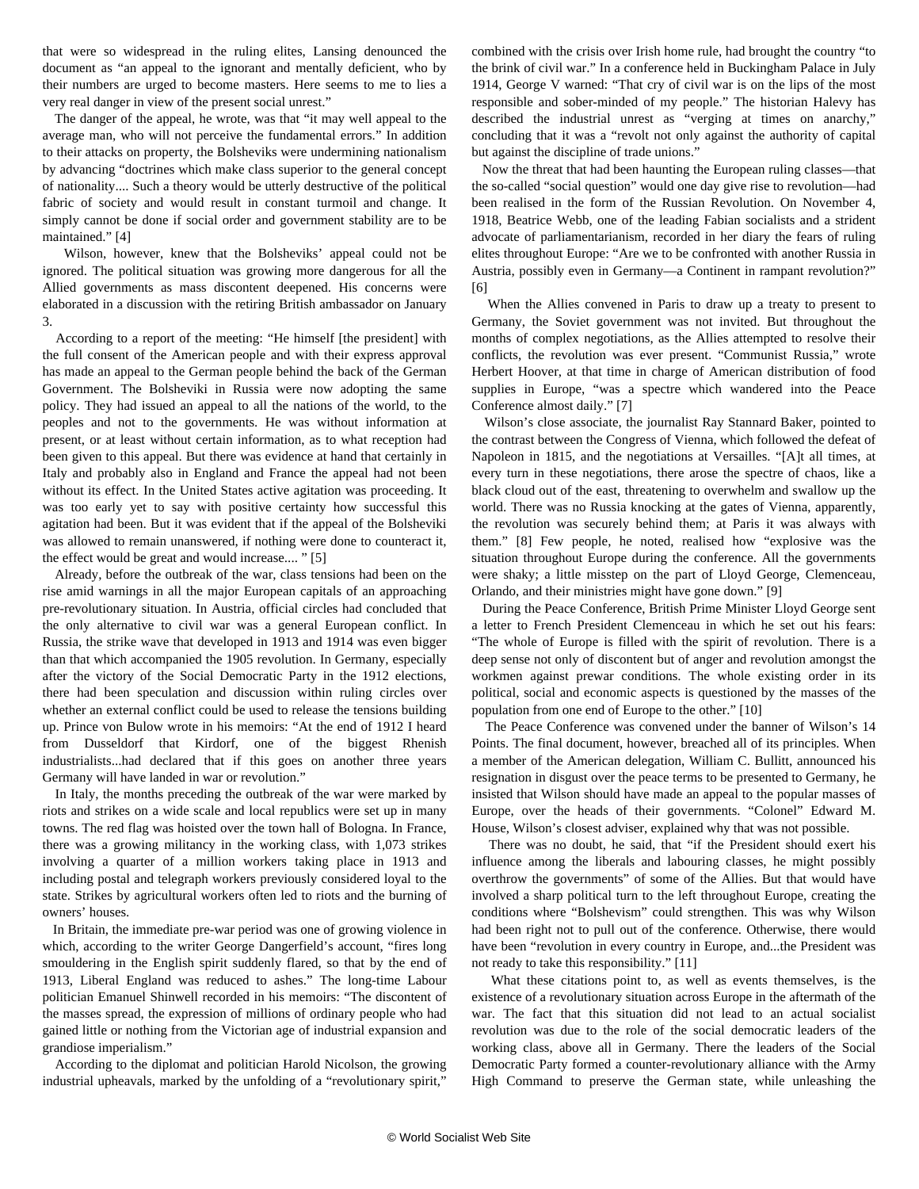that were so widespread in the ruling elites, Lansing denounced the document as "an appeal to the ignorant and mentally deficient, who by their numbers are urged to become masters. Here seems to me to lies a very real danger in view of the present social unrest."

 The danger of the appeal, he wrote, was that "it may well appeal to the average man, who will not perceive the fundamental errors." In addition to their attacks on property, the Bolsheviks were undermining nationalism by advancing "doctrines which make class superior to the general concept of nationality.... Such a theory would be utterly destructive of the political fabric of society and would result in constant turmoil and change. It simply cannot be done if social order and government stability are to be maintained." [4]

 Wilson, however, knew that the Bolsheviks' appeal could not be ignored. The political situation was growing more dangerous for all the Allied governments as mass discontent deepened. His concerns were elaborated in a discussion with the retiring British ambassador on January 3.

 According to a report of the meeting: "He himself [the president] with the full consent of the American people and with their express approval has made an appeal to the German people behind the back of the German Government. The Bolsheviki in Russia were now adopting the same policy. They had issued an appeal to all the nations of the world, to the peoples and not to the governments. He was without information at present, or at least without certain information, as to what reception had been given to this appeal. But there was evidence at hand that certainly in Italy and probably also in England and France the appeal had not been without its effect. In the United States active agitation was proceeding. It was too early yet to say with positive certainty how successful this agitation had been. But it was evident that if the appeal of the Bolsheviki was allowed to remain unanswered, if nothing were done to counteract it, the effect would be great and would increase.... " [5]

 Already, before the outbreak of the war, class tensions had been on the rise amid warnings in all the major European capitals of an approaching pre-revolutionary situation. In Austria, official circles had concluded that the only alternative to civil war was a general European conflict. In Russia, the strike wave that developed in 1913 and 1914 was even bigger than that which accompanied the 1905 revolution. In Germany, especially after the victory of the Social Democratic Party in the 1912 elections, there had been speculation and discussion within ruling circles over whether an external conflict could be used to release the tensions building up. Prince von Bulow wrote in his memoirs: "At the end of 1912 I heard from Dusseldorf that Kirdorf, one of the biggest Rhenish industrialists...had declared that if this goes on another three years Germany will have landed in war or revolution."

 In Italy, the months preceding the outbreak of the war were marked by riots and strikes on a wide scale and local republics were set up in many towns. The red flag was hoisted over the town hall of Bologna. In France, there was a growing militancy in the working class, with 1,073 strikes involving a quarter of a million workers taking place in 1913 and including postal and telegraph workers previously considered loyal to the state. Strikes by agricultural workers often led to riots and the burning of owners' houses.

 In Britain, the immediate pre-war period was one of growing violence in which, according to the writer George Dangerfield's account, "fires long smouldering in the English spirit suddenly flared, so that by the end of 1913, Liberal England was reduced to ashes." The long-time Labour politician Emanuel Shinwell recorded in his memoirs: "The discontent of the masses spread, the expression of millions of ordinary people who had gained little or nothing from the Victorian age of industrial expansion and grandiose imperialism."

 According to the diplomat and politician Harold Nicolson, the growing industrial upheavals, marked by the unfolding of a "revolutionary spirit,"

combined with the crisis over Irish home rule, had brought the country "to the brink of civil war." In a conference held in Buckingham Palace in July 1914, George V warned: "That cry of civil war is on the lips of the most responsible and sober-minded of my people." The historian Halevy has described the industrial unrest as "verging at times on anarchy," concluding that it was a "revolt not only against the authority of capital but against the discipline of trade unions."

 Now the threat that had been haunting the European ruling classes—that the so-called "social question" would one day give rise to revolution—had been realised in the form of the Russian Revolution. On November 4, 1918, Beatrice Webb, one of the leading Fabian socialists and a strident advocate of parliamentarianism, recorded in her diary the fears of ruling elites throughout Europe: "Are we to be confronted with another Russia in Austria, possibly even in Germany—a Continent in rampant revolution?" [6]

 When the Allies convened in Paris to draw up a treaty to present to Germany, the Soviet government was not invited. But throughout the months of complex negotiations, as the Allies attempted to resolve their conflicts, the revolution was ever present. "Communist Russia," wrote Herbert Hoover, at that time in charge of American distribution of food supplies in Europe, "was a spectre which wandered into the Peace Conference almost daily." [7]

 Wilson's close associate, the journalist Ray Stannard Baker, pointed to the contrast between the Congress of Vienna, which followed the defeat of Napoleon in 1815, and the negotiations at Versailles. "[A]t all times, at every turn in these negotiations, there arose the spectre of chaos, like a black cloud out of the east, threatening to overwhelm and swallow up the world. There was no Russia knocking at the gates of Vienna, apparently, the revolution was securely behind them; at Paris it was always with them." [8] Few people, he noted, realised how "explosive was the situation throughout Europe during the conference. All the governments were shaky; a little misstep on the part of Lloyd George, Clemenceau, Orlando, and their ministries might have gone down." [9]

 During the Peace Conference, British Prime Minister Lloyd George sent a letter to French President Clemenceau in which he set out his fears: "The whole of Europe is filled with the spirit of revolution. There is a deep sense not only of discontent but of anger and revolution amongst the workmen against prewar conditions. The whole existing order in its political, social and economic aspects is questioned by the masses of the population from one end of Europe to the other." [10]

 The Peace Conference was convened under the banner of Wilson's 14 Points. The final document, however, breached all of its principles. When a member of the American delegation, William C. Bullitt, announced his resignation in disgust over the peace terms to be presented to Germany, he insisted that Wilson should have made an appeal to the popular masses of Europe, over the heads of their governments. "Colonel" Edward M. House, Wilson's closest adviser, explained why that was not possible.

 There was no doubt, he said, that "if the President should exert his influence among the liberals and labouring classes, he might possibly overthrow the governments" of some of the Allies. But that would have involved a sharp political turn to the left throughout Europe, creating the conditions where "Bolshevism" could strengthen. This was why Wilson had been right not to pull out of the conference. Otherwise, there would have been "revolution in every country in Europe, and...the President was not ready to take this responsibility." [11]

 What these citations point to, as well as events themselves, is the existence of a revolutionary situation across Europe in the aftermath of the war. The fact that this situation did not lead to an actual socialist revolution was due to the role of the social democratic leaders of the working class, above all in Germany. There the leaders of the Social Democratic Party formed a counter-revolutionary alliance with the Army High Command to preserve the German state, while unleashing the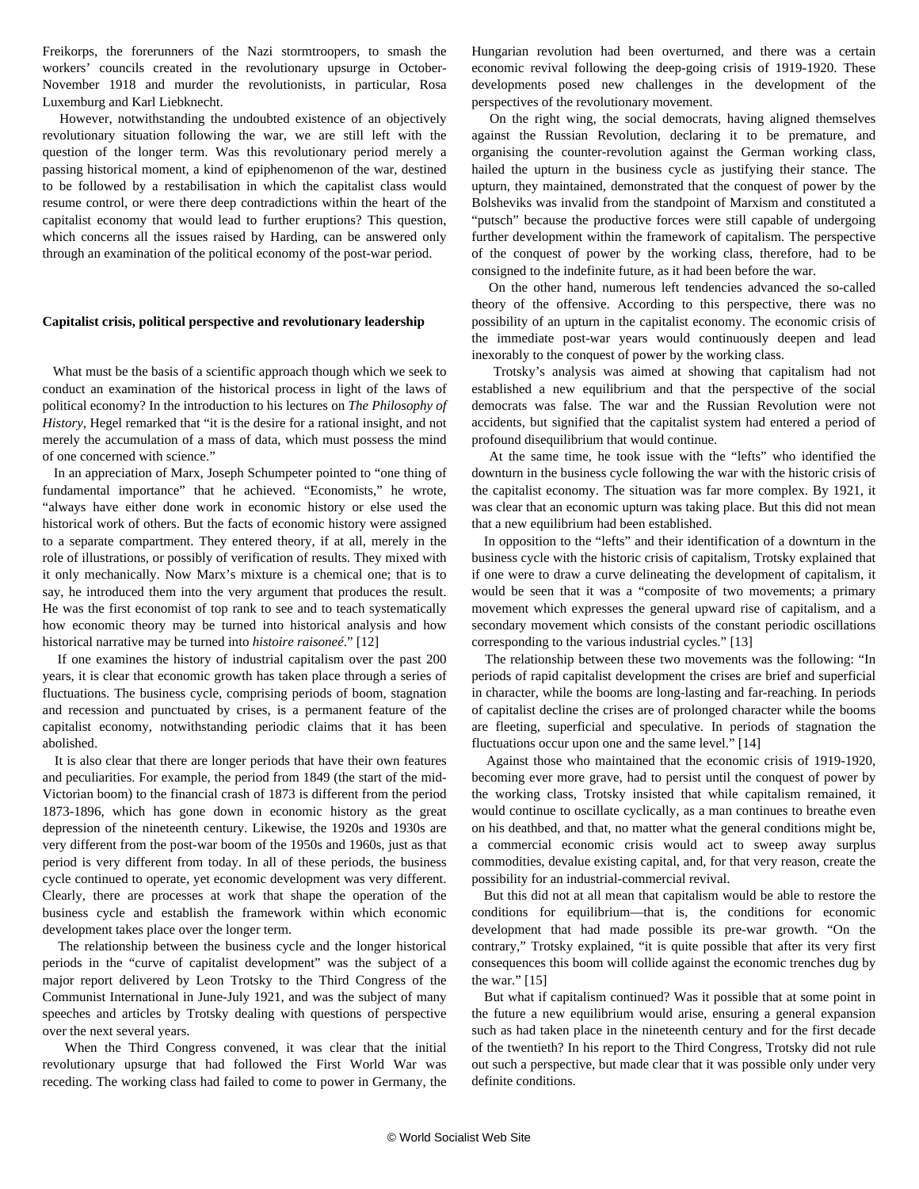Freikorps, the forerunners of the Nazi stormtroopers, to smash the workers' councils created in the revolutionary upsurge in October-November 1918 and murder the revolutionists, in particular, Rosa Luxemburg and Karl Liebknecht.

 However, notwithstanding the undoubted existence of an objectively revolutionary situation following the war, we are still left with the question of the longer term. Was this revolutionary period merely a passing historical moment, a kind of epiphenomenon of the war, destined to be followed by a restabilisation in which the capitalist class would resume control, or were there deep contradictions within the heart of the capitalist economy that would lead to further eruptions? This question, which concerns all the issues raised by Harding, can be answered only through an examination of the political economy of the post-war period.

## **Capitalist crisis, political perspective and revolutionary leadership**

 What must be the basis of a scientific approach though which we seek to conduct an examination of the historical process in light of the laws of political economy? In the introduction to his lectures on *The Philosophy of History*, Hegel remarked that "it is the desire for a rational insight, and not merely the accumulation of a mass of data, which must possess the mind of one concerned with science."

 In an appreciation of Marx, Joseph Schumpeter pointed to "one thing of fundamental importance" that he achieved. "Economists," he wrote, "always have either done work in economic history or else used the historical work of others. But the facts of economic history were assigned to a separate compartment. They entered theory, if at all, merely in the role of illustrations, or possibly of verification of results. They mixed with it only mechanically. Now Marx's mixture is a chemical one; that is to say, he introduced them into the very argument that produces the result. He was the first economist of top rank to see and to teach systematically how economic theory may be turned into historical analysis and how historical narrative may be turned into *histoire raisoneé*." [12]

 If one examines the history of industrial capitalism over the past 200 years, it is clear that economic growth has taken place through a series of fluctuations. The business cycle, comprising periods of boom, stagnation and recession and punctuated by crises, is a permanent feature of the capitalist economy, notwithstanding periodic claims that it has been abolished.

 It is also clear that there are longer periods that have their own features and peculiarities. For example, the period from 1849 (the start of the mid-Victorian boom) to the financial crash of 1873 is different from the period 1873-1896, which has gone down in economic history as the great depression of the nineteenth century. Likewise, the 1920s and 1930s are very different from the post-war boom of the 1950s and 1960s, just as that period is very different from today. In all of these periods, the business cycle continued to operate, yet economic development was very different. Clearly, there are processes at work that shape the operation of the business cycle and establish the framework within which economic development takes place over the longer term.

 The relationship between the business cycle and the longer historical periods in the "curve of capitalist development" was the subject of a major report delivered by Leon Trotsky to the Third Congress of the Communist International in June-July 1921, and was the subject of many speeches and articles by Trotsky dealing with questions of perspective over the next several years.

 When the Third Congress convened, it was clear that the initial revolutionary upsurge that had followed the First World War was receding. The working class had failed to come to power in Germany, the Hungarian revolution had been overturned, and there was a certain economic revival following the deep-going crisis of 1919-1920. These developments posed new challenges in the development of the perspectives of the revolutionary movement.

 On the right wing, the social democrats, having aligned themselves against the Russian Revolution, declaring it to be premature, and organising the counter-revolution against the German working class, hailed the upturn in the business cycle as justifying their stance. The upturn, they maintained, demonstrated that the conquest of power by the Bolsheviks was invalid from the standpoint of Marxism and constituted a "putsch" because the productive forces were still capable of undergoing further development within the framework of capitalism. The perspective of the conquest of power by the working class, therefore, had to be consigned to the indefinite future, as it had been before the war.

 On the other hand, numerous left tendencies advanced the so-called theory of the offensive. According to this perspective, there was no possibility of an upturn in the capitalist economy. The economic crisis of the immediate post-war years would continuously deepen and lead inexorably to the conquest of power by the working class.

 Trotsky's analysis was aimed at showing that capitalism had not established a new equilibrium and that the perspective of the social democrats was false. The war and the Russian Revolution were not accidents, but signified that the capitalist system had entered a period of profound disequilibrium that would continue.

 At the same time, he took issue with the "lefts" who identified the downturn in the business cycle following the war with the historic crisis of the capitalist economy. The situation was far more complex. By 1921, it was clear that an economic upturn was taking place. But this did not mean that a new equilibrium had been established.

 In opposition to the "lefts" and their identification of a downturn in the business cycle with the historic crisis of capitalism, Trotsky explained that if one were to draw a curve delineating the development of capitalism, it would be seen that it was a "composite of two movements; a primary movement which expresses the general upward rise of capitalism, and a secondary movement which consists of the constant periodic oscillations corresponding to the various industrial cycles." [13]

 The relationship between these two movements was the following: "In periods of rapid capitalist development the crises are brief and superficial in character, while the booms are long-lasting and far-reaching. In periods of capitalist decline the crises are of prolonged character while the booms are fleeting, superficial and speculative. In periods of stagnation the fluctuations occur upon one and the same level." [14]

 Against those who maintained that the economic crisis of 1919-1920, becoming ever more grave, had to persist until the conquest of power by the working class, Trotsky insisted that while capitalism remained, it would continue to oscillate cyclically, as a man continues to breathe even on his deathbed, and that, no matter what the general conditions might be, a commercial economic crisis would act to sweep away surplus commodities, devalue existing capital, and, for that very reason, create the possibility for an industrial-commercial revival.

 But this did not at all mean that capitalism would be able to restore the conditions for equilibrium—that is, the conditions for economic development that had made possible its pre-war growth. "On the contrary," Trotsky explained, "it is quite possible that after its very first consequences this boom will collide against the economic trenches dug by the war." [15]

 But what if capitalism continued? Was it possible that at some point in the future a new equilibrium would arise, ensuring a general expansion such as had taken place in the nineteenth century and for the first decade of the twentieth? In his report to the Third Congress, Trotsky did not rule out such a perspective, but made clear that it was possible only under very definite conditions.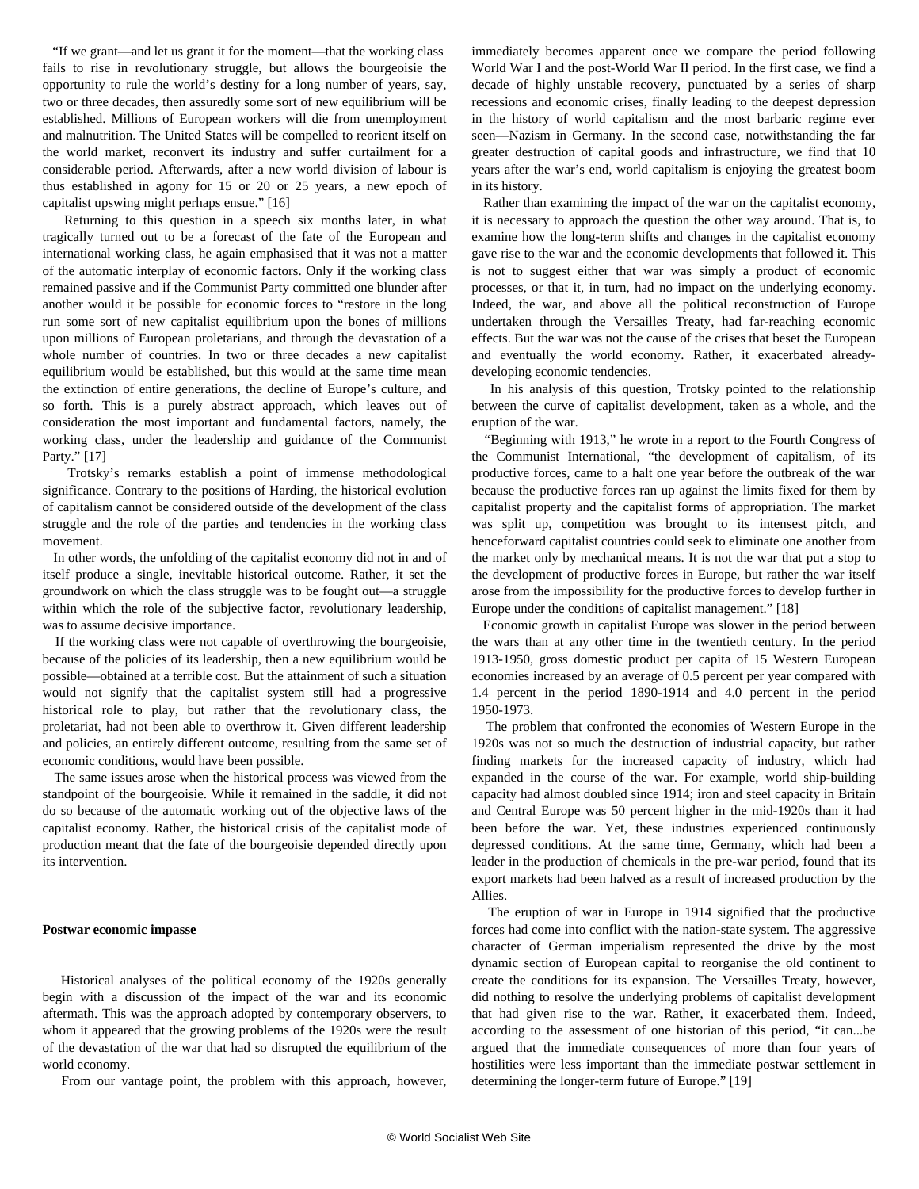"If we grant—and let us grant it for the moment—that the working class fails to rise in revolutionary struggle, but allows the bourgeoisie the opportunity to rule the world's destiny for a long number of years, say, two or three decades, then assuredly some sort of new equilibrium will be established. Millions of European workers will die from unemployment and malnutrition. The United States will be compelled to reorient itself on the world market, reconvert its industry and suffer curtailment for a considerable period. Afterwards, after a new world division of labour is thus established in agony for 15 or 20 or 25 years, a new epoch of capitalist upswing might perhaps ensue." [16]

 Returning to this question in a speech six months later, in what tragically turned out to be a forecast of the fate of the European and international working class, he again emphasised that it was not a matter of the automatic interplay of economic factors. Only if the working class remained passive and if the Communist Party committed one blunder after another would it be possible for economic forces to "restore in the long run some sort of new capitalist equilibrium upon the bones of millions upon millions of European proletarians, and through the devastation of a whole number of countries. In two or three decades a new capitalist equilibrium would be established, but this would at the same time mean the extinction of entire generations, the decline of Europe's culture, and so forth. This is a purely abstract approach, which leaves out of consideration the most important and fundamental factors, namely, the working class, under the leadership and guidance of the Communist Party." [17]

 Trotsky's remarks establish a point of immense methodological significance. Contrary to the positions of Harding, the historical evolution of capitalism cannot be considered outside of the development of the class struggle and the role of the parties and tendencies in the working class movement.

 In other words, the unfolding of the capitalist economy did not in and of itself produce a single, inevitable historical outcome. Rather, it set the groundwork on which the class struggle was to be fought out—a struggle within which the role of the subjective factor, revolutionary leadership, was to assume decisive importance.

 If the working class were not capable of overthrowing the bourgeoisie, because of the policies of its leadership, then a new equilibrium would be possible—obtained at a terrible cost. But the attainment of such a situation would not signify that the capitalist system still had a progressive historical role to play, but rather that the revolutionary class, the proletariat, had not been able to overthrow it. Given different leadership and policies, an entirely different outcome, resulting from the same set of economic conditions, would have been possible.

 The same issues arose when the historical process was viewed from the standpoint of the bourgeoisie. While it remained in the saddle, it did not do so because of the automatic working out of the objective laws of the capitalist economy. Rather, the historical crisis of the capitalist mode of production meant that the fate of the bourgeoisie depended directly upon its intervention.

#### **Postwar economic impasse**

 Historical analyses of the political economy of the 1920s generally begin with a discussion of the impact of the war and its economic aftermath. This was the approach adopted by contemporary observers, to whom it appeared that the growing problems of the 1920s were the result of the devastation of the war that had so disrupted the equilibrium of the world economy.

From our vantage point, the problem with this approach, however,

immediately becomes apparent once we compare the period following World War I and the post-World War II period. In the first case, we find a decade of highly unstable recovery, punctuated by a series of sharp recessions and economic crises, finally leading to the deepest depression in the history of world capitalism and the most barbaric regime ever seen—Nazism in Germany. In the second case, notwithstanding the far greater destruction of capital goods and infrastructure, we find that 10 years after the war's end, world capitalism is enjoying the greatest boom in its history.

 Rather than examining the impact of the war on the capitalist economy, it is necessary to approach the question the other way around. That is, to examine how the long-term shifts and changes in the capitalist economy gave rise to the war and the economic developments that followed it. This is not to suggest either that war was simply a product of economic processes, or that it, in turn, had no impact on the underlying economy. Indeed, the war, and above all the political reconstruction of Europe undertaken through the Versailles Treaty, had far-reaching economic effects. But the war was not the cause of the crises that beset the European and eventually the world economy. Rather, it exacerbated alreadydeveloping economic tendencies.

 In his analysis of this question, Trotsky pointed to the relationship between the curve of capitalist development, taken as a whole, and the eruption of the war.

 "Beginning with 1913," he wrote in a report to the Fourth Congress of the Communist International, "the development of capitalism, of its productive forces, came to a halt one year before the outbreak of the war because the productive forces ran up against the limits fixed for them by capitalist property and the capitalist forms of appropriation. The market was split up, competition was brought to its intensest pitch, and henceforward capitalist countries could seek to eliminate one another from the market only by mechanical means. It is not the war that put a stop to the development of productive forces in Europe, but rather the war itself arose from the impossibility for the productive forces to develop further in Europe under the conditions of capitalist management." [18]

 Economic growth in capitalist Europe was slower in the period between the wars than at any other time in the twentieth century. In the period 1913-1950, gross domestic product per capita of 15 Western European economies increased by an average of 0.5 percent per year compared with 1.4 percent in the period 1890-1914 and 4.0 percent in the period 1950-1973.

 The problem that confronted the economies of Western Europe in the 1920s was not so much the destruction of industrial capacity, but rather finding markets for the increased capacity of industry, which had expanded in the course of the war. For example, world ship-building capacity had almost doubled since 1914; iron and steel capacity in Britain and Central Europe was 50 percent higher in the mid-1920s than it had been before the war. Yet, these industries experienced continuously depressed conditions. At the same time, Germany, which had been a leader in the production of chemicals in the pre-war period, found that its export markets had been halved as a result of increased production by the Allies.

 The eruption of war in Europe in 1914 signified that the productive forces had come into conflict with the nation-state system. The aggressive character of German imperialism represented the drive by the most dynamic section of European capital to reorganise the old continent to create the conditions for its expansion. The Versailles Treaty, however, did nothing to resolve the underlying problems of capitalist development that had given rise to the war. Rather, it exacerbated them. Indeed, according to the assessment of one historian of this period, "it can...be argued that the immediate consequences of more than four years of hostilities were less important than the immediate postwar settlement in determining the longer-term future of Europe." [19]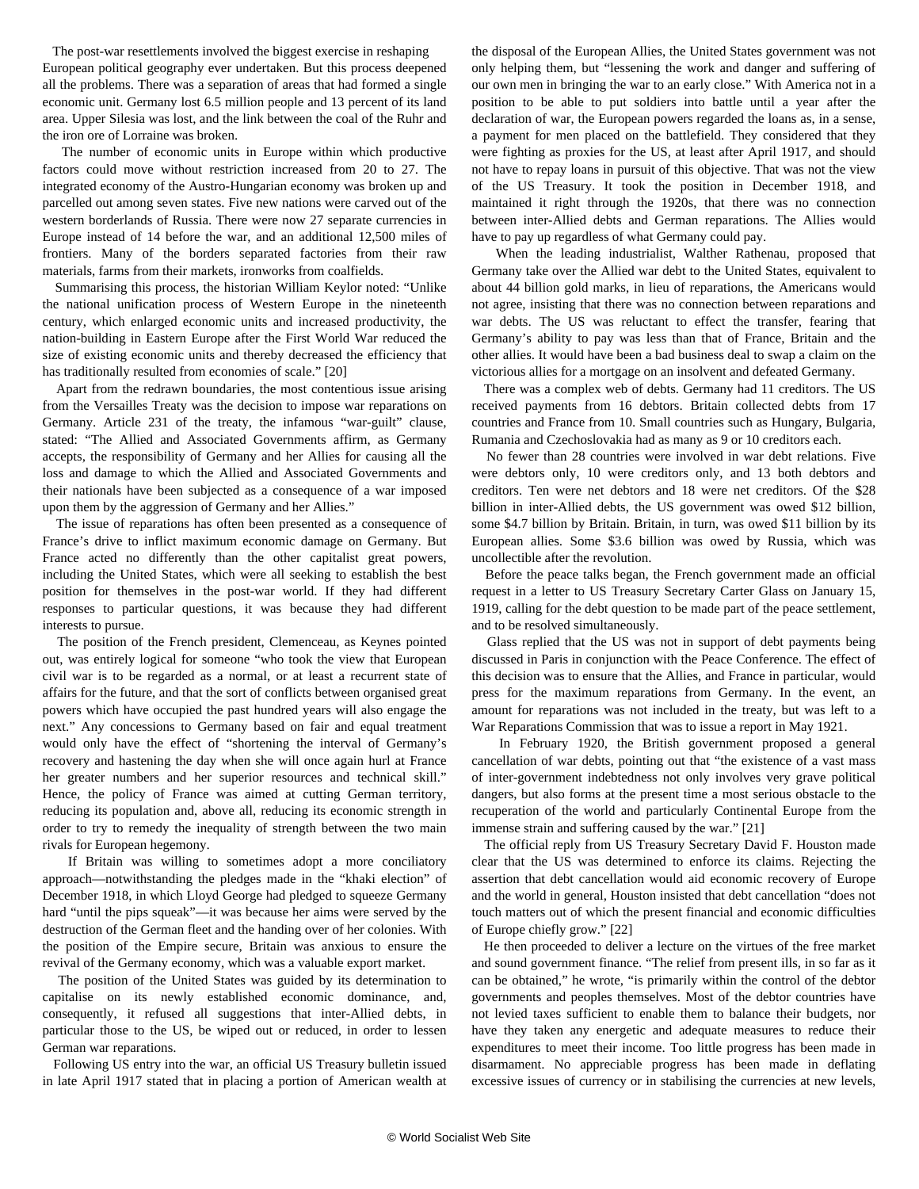The post-war resettlements involved the biggest exercise in reshaping European political geography ever undertaken. But this process deepened all the problems. There was a separation of areas that had formed a single economic unit. Germany lost 6.5 million people and 13 percent of its land area. Upper Silesia was lost, and the link between the coal of the Ruhr and the iron ore of Lorraine was broken.

 The number of economic units in Europe within which productive factors could move without restriction increased from 20 to 27. The integrated economy of the Austro-Hungarian economy was broken up and parcelled out among seven states. Five new nations were carved out of the western borderlands of Russia. There were now 27 separate currencies in Europe instead of 14 before the war, and an additional 12,500 miles of frontiers. Many of the borders separated factories from their raw materials, farms from their markets, ironworks from coalfields.

 Summarising this process, the historian William Keylor noted: "Unlike the national unification process of Western Europe in the nineteenth century, which enlarged economic units and increased productivity, the nation-building in Eastern Europe after the First World War reduced the size of existing economic units and thereby decreased the efficiency that has traditionally resulted from economies of scale." [20]

 Apart from the redrawn boundaries, the most contentious issue arising from the Versailles Treaty was the decision to impose war reparations on Germany. Article 231 of the treaty, the infamous "war-guilt" clause, stated: "The Allied and Associated Governments affirm, as Germany accepts, the responsibility of Germany and her Allies for causing all the loss and damage to which the Allied and Associated Governments and their nationals have been subjected as a consequence of a war imposed upon them by the aggression of Germany and her Allies."

 The issue of reparations has often been presented as a consequence of France's drive to inflict maximum economic damage on Germany. But France acted no differently than the other capitalist great powers, including the United States, which were all seeking to establish the best position for themselves in the post-war world. If they had different responses to particular questions, it was because they had different interests to pursue.

 The position of the French president, Clemenceau, as Keynes pointed out, was entirely logical for someone "who took the view that European civil war is to be regarded as a normal, or at least a recurrent state of affairs for the future, and that the sort of conflicts between organised great powers which have occupied the past hundred years will also engage the next." Any concessions to Germany based on fair and equal treatment would only have the effect of "shortening the interval of Germany's recovery and hastening the day when she will once again hurl at France her greater numbers and her superior resources and technical skill." Hence, the policy of France was aimed at cutting German territory, reducing its population and, above all, reducing its economic strength in order to try to remedy the inequality of strength between the two main rivals for European hegemony.

 If Britain was willing to sometimes adopt a more conciliatory approach—notwithstanding the pledges made in the "khaki election" of December 1918, in which Lloyd George had pledged to squeeze Germany hard "until the pips squeak"—it was because her aims were served by the destruction of the German fleet and the handing over of her colonies. With the position of the Empire secure, Britain was anxious to ensure the revival of the Germany economy, which was a valuable export market.

 The position of the United States was guided by its determination to capitalise on its newly established economic dominance, and, consequently, it refused all suggestions that inter-Allied debts, in particular those to the US, be wiped out or reduced, in order to lessen German war reparations.

 Following US entry into the war, an official US Treasury bulletin issued in late April 1917 stated that in placing a portion of American wealth at the disposal of the European Allies, the United States government was not only helping them, but "lessening the work and danger and suffering of our own men in bringing the war to an early close." With America not in a position to be able to put soldiers into battle until a year after the declaration of war, the European powers regarded the loans as, in a sense, a payment for men placed on the battlefield. They considered that they were fighting as proxies for the US, at least after April 1917, and should not have to repay loans in pursuit of this objective. That was not the view of the US Treasury. It took the position in December 1918, and maintained it right through the 1920s, that there was no connection between inter-Allied debts and German reparations. The Allies would have to pay up regardless of what Germany could pay.

 When the leading industrialist, Walther Rathenau, proposed that Germany take over the Allied war debt to the United States, equivalent to about 44 billion gold marks, in lieu of reparations, the Americans would not agree, insisting that there was no connection between reparations and war debts. The US was reluctant to effect the transfer, fearing that Germany's ability to pay was less than that of France, Britain and the other allies. It would have been a bad business deal to swap a claim on the victorious allies for a mortgage on an insolvent and defeated Germany.

 There was a complex web of debts. Germany had 11 creditors. The US received payments from 16 debtors. Britain collected debts from 17 countries and France from 10. Small countries such as Hungary, Bulgaria, Rumania and Czechoslovakia had as many as 9 or 10 creditors each.

 No fewer than 28 countries were involved in war debt relations. Five were debtors only, 10 were creditors only, and 13 both debtors and creditors. Ten were net debtors and 18 were net creditors. Of the \$28 billion in inter-Allied debts, the US government was owed \$12 billion, some \$4.7 billion by Britain. Britain, in turn, was owed \$11 billion by its European allies. Some \$3.6 billion was owed by Russia, which was uncollectible after the revolution.

 Before the peace talks began, the French government made an official request in a letter to US Treasury Secretary Carter Glass on January 15, 1919, calling for the debt question to be made part of the peace settlement, and to be resolved simultaneously.

 Glass replied that the US was not in support of debt payments being discussed in Paris in conjunction with the Peace Conference. The effect of this decision was to ensure that the Allies, and France in particular, would press for the maximum reparations from Germany. In the event, an amount for reparations was not included in the treaty, but was left to a War Reparations Commission that was to issue a report in May 1921.

 In February 1920, the British government proposed a general cancellation of war debts, pointing out that "the existence of a vast mass of inter-government indebtedness not only involves very grave political dangers, but also forms at the present time a most serious obstacle to the recuperation of the world and particularly Continental Europe from the immense strain and suffering caused by the war." [21]

 The official reply from US Treasury Secretary David F. Houston made clear that the US was determined to enforce its claims. Rejecting the assertion that debt cancellation would aid economic recovery of Europe and the world in general, Houston insisted that debt cancellation "does not touch matters out of which the present financial and economic difficulties of Europe chiefly grow." [22]

 He then proceeded to deliver a lecture on the virtues of the free market and sound government finance. "The relief from present ills, in so far as it can be obtained," he wrote, "is primarily within the control of the debtor governments and peoples themselves. Most of the debtor countries have not levied taxes sufficient to enable them to balance their budgets, nor have they taken any energetic and adequate measures to reduce their expenditures to meet their income. Too little progress has been made in disarmament. No appreciable progress has been made in deflating excessive issues of currency or in stabilising the currencies at new levels,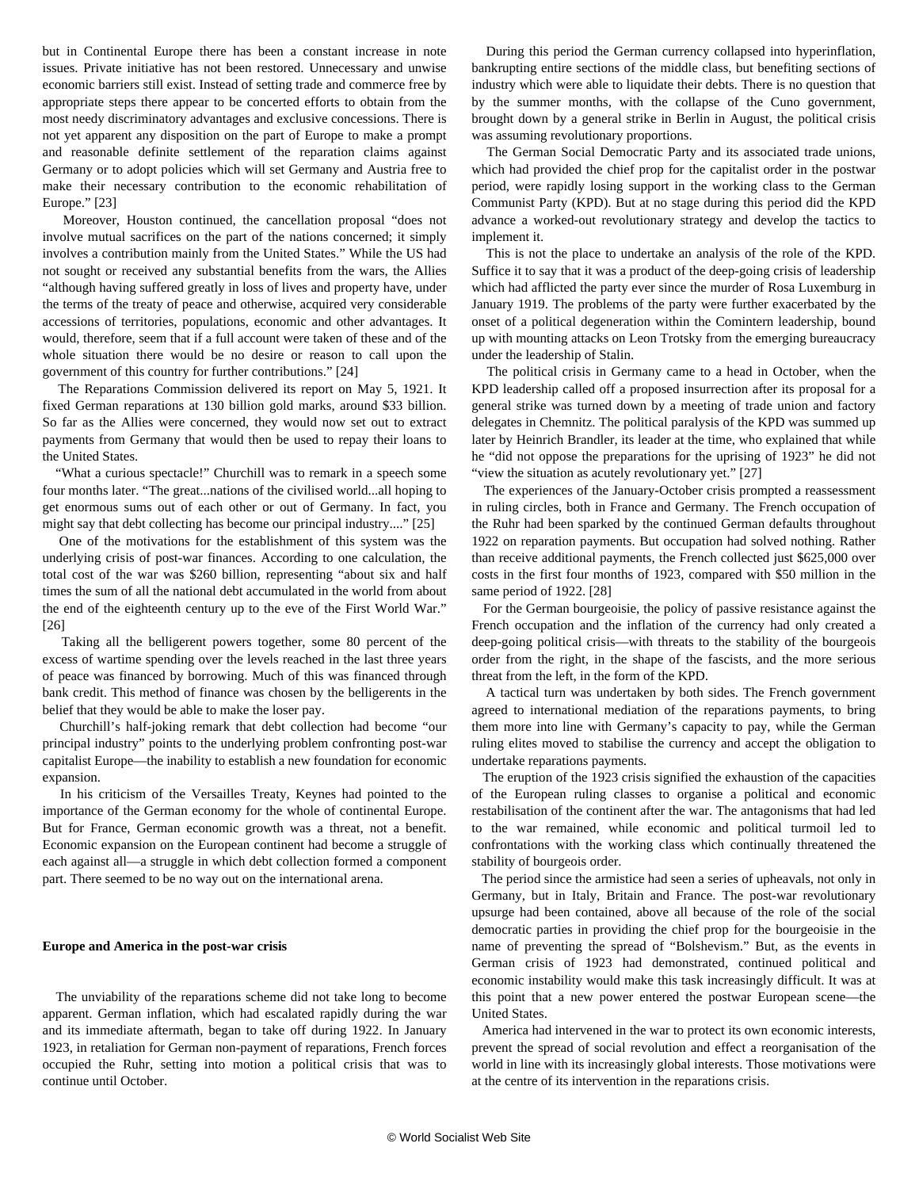but in Continental Europe there has been a constant increase in note issues. Private initiative has not been restored. Unnecessary and unwise economic barriers still exist. Instead of setting trade and commerce free by appropriate steps there appear to be concerted efforts to obtain from the most needy discriminatory advantages and exclusive concessions. There is not yet apparent any disposition on the part of Europe to make a prompt and reasonable definite settlement of the reparation claims against Germany or to adopt policies which will set Germany and Austria free to make their necessary contribution to the economic rehabilitation of Europe." [23]

 Moreover, Houston continued, the cancellation proposal "does not involve mutual sacrifices on the part of the nations concerned; it simply involves a contribution mainly from the United States." While the US had not sought or received any substantial benefits from the wars, the Allies "although having suffered greatly in loss of lives and property have, under the terms of the treaty of peace and otherwise, acquired very considerable accessions of territories, populations, economic and other advantages. It would, therefore, seem that if a full account were taken of these and of the whole situation there would be no desire or reason to call upon the government of this country for further contributions." [24]

 The Reparations Commission delivered its report on May 5, 1921. It fixed German reparations at 130 billion gold marks, around \$33 billion. So far as the Allies were concerned, they would now set out to extract payments from Germany that would then be used to repay their loans to the United States.

 "What a curious spectacle!" Churchill was to remark in a speech some four months later. "The great...nations of the civilised world...all hoping to get enormous sums out of each other or out of Germany. In fact, you might say that debt collecting has become our principal industry...." [25]

 One of the motivations for the establishment of this system was the underlying crisis of post-war finances. According to one calculation, the total cost of the war was \$260 billion, representing "about six and half times the sum of all the national debt accumulated in the world from about the end of the eighteenth century up to the eve of the First World War." [26]

 Taking all the belligerent powers together, some 80 percent of the excess of wartime spending over the levels reached in the last three years of peace was financed by borrowing. Much of this was financed through bank credit. This method of finance was chosen by the belligerents in the belief that they would be able to make the loser pay.

 Churchill's half-joking remark that debt collection had become "our principal industry" points to the underlying problem confronting post-war capitalist Europe—the inability to establish a new foundation for economic expansion.

 In his criticism of the Versailles Treaty, Keynes had pointed to the importance of the German economy for the whole of continental Europe. But for France, German economic growth was a threat, not a benefit. Economic expansion on the European continent had become a struggle of each against all—a struggle in which debt collection formed a component part. There seemed to be no way out on the international arena.

#### **Europe and America in the post-war crisis**

 The unviability of the reparations scheme did not take long to become apparent. German inflation, which had escalated rapidly during the war and its immediate aftermath, began to take off during 1922. In January 1923, in retaliation for German non-payment of reparations, French forces occupied the Ruhr, setting into motion a political crisis that was to continue until October.

 During this period the German currency collapsed into hyperinflation, bankrupting entire sections of the middle class, but benefiting sections of industry which were able to liquidate their debts. There is no question that by the summer months, with the collapse of the Cuno government, brought down by a general strike in Berlin in August, the political crisis was assuming revolutionary proportions.

 The German Social Democratic Party and its associated trade unions, which had provided the chief prop for the capitalist order in the postwar period, were rapidly losing support in the working class to the German Communist Party (KPD). But at no stage during this period did the KPD advance a worked-out revolutionary strategy and develop the tactics to implement it.

 This is not the place to undertake an analysis of the role of the KPD. Suffice it to say that it was a product of the deep-going crisis of leadership which had afflicted the party ever since the murder of Rosa Luxemburg in January 1919. The problems of the party were further exacerbated by the onset of a political degeneration within the Comintern leadership, bound up with mounting attacks on Leon Trotsky from the emerging bureaucracy under the leadership of Stalin.

 The political crisis in Germany came to a head in October, when the KPD leadership called off a proposed insurrection after its proposal for a general strike was turned down by a meeting of trade union and factory delegates in Chemnitz. The political paralysis of the KPD was summed up later by Heinrich Brandler, its leader at the time, who explained that while he "did not oppose the preparations for the uprising of 1923" he did not "view the situation as acutely revolutionary yet." [27]

 The experiences of the January-October crisis prompted a reassessment in ruling circles, both in France and Germany. The French occupation of the Ruhr had been sparked by the continued German defaults throughout 1922 on reparation payments. But occupation had solved nothing. Rather than receive additional payments, the French collected just \$625,000 over costs in the first four months of 1923, compared with \$50 million in the same period of 1922. [28]

 For the German bourgeoisie, the policy of passive resistance against the French occupation and the inflation of the currency had only created a deep-going political crisis—with threats to the stability of the bourgeois order from the right, in the shape of the fascists, and the more serious threat from the left, in the form of the KPD.

 A tactical turn was undertaken by both sides. The French government agreed to international mediation of the reparations payments, to bring them more into line with Germany's capacity to pay, while the German ruling elites moved to stabilise the currency and accept the obligation to undertake reparations payments.

 The eruption of the 1923 crisis signified the exhaustion of the capacities of the European ruling classes to organise a political and economic restabilisation of the continent after the war. The antagonisms that had led to the war remained, while economic and political turmoil led to confrontations with the working class which continually threatened the stability of bourgeois order.

 The period since the armistice had seen a series of upheavals, not only in Germany, but in Italy, Britain and France. The post-war revolutionary upsurge had been contained, above all because of the role of the social democratic parties in providing the chief prop for the bourgeoisie in the name of preventing the spread of "Bolshevism." But, as the events in German crisis of 1923 had demonstrated, continued political and economic instability would make this task increasingly difficult. It was at this point that a new power entered the postwar European scene—the United States.

 America had intervened in the war to protect its own economic interests, prevent the spread of social revolution and effect a reorganisation of the world in line with its increasingly global interests. Those motivations were at the centre of its intervention in the reparations crisis.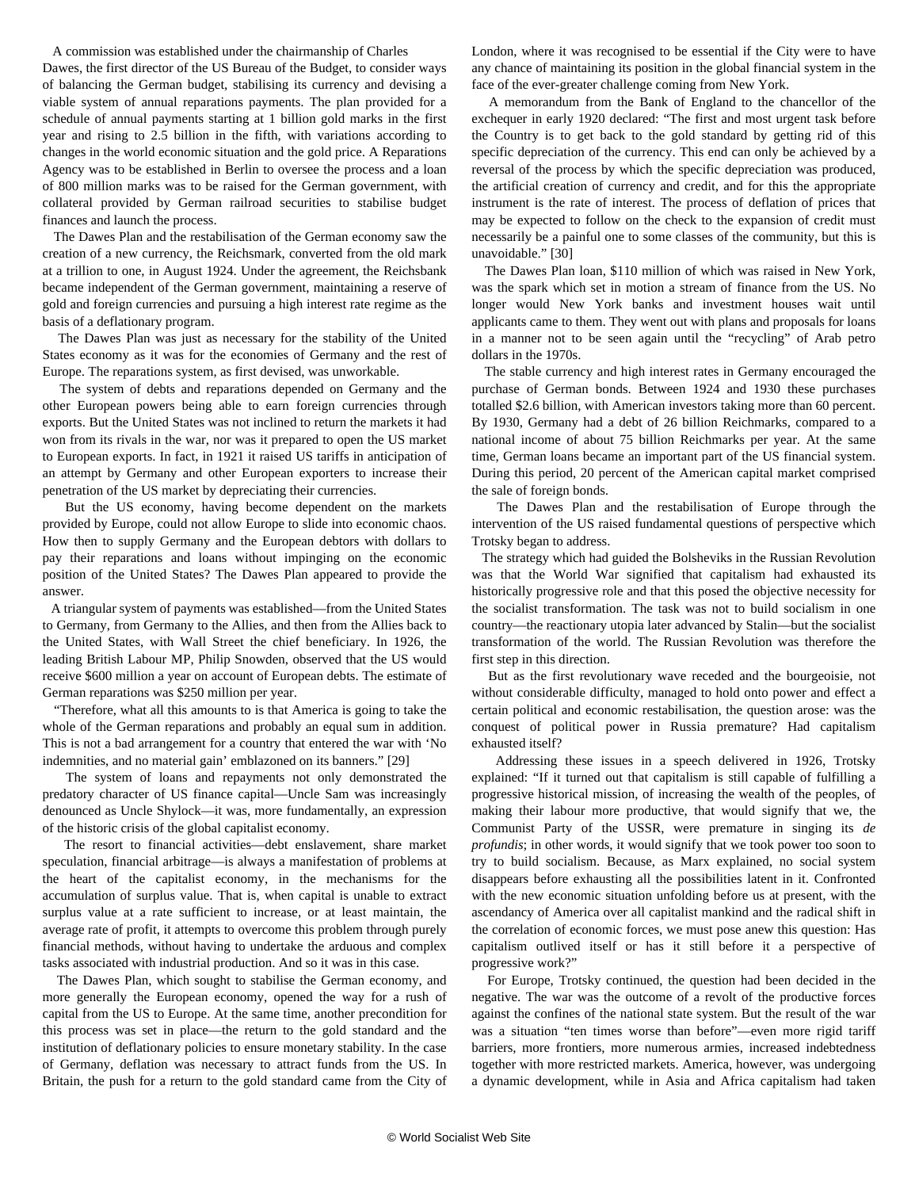A commission was established under the chairmanship of Charles

Dawes, the first director of the US Bureau of the Budget, to consider ways of balancing the German budget, stabilising its currency and devising a viable system of annual reparations payments. The plan provided for a schedule of annual payments starting at 1 billion gold marks in the first year and rising to 2.5 billion in the fifth, with variations according to changes in the world economic situation and the gold price. A Reparations Agency was to be established in Berlin to oversee the process and a loan of 800 million marks was to be raised for the German government, with collateral provided by German railroad securities to stabilise budget finances and launch the process.

 The Dawes Plan and the restabilisation of the German economy saw the creation of a new currency, the Reichsmark, converted from the old mark at a trillion to one, in August 1924. Under the agreement, the Reichsbank became independent of the German government, maintaining a reserve of gold and foreign currencies and pursuing a high interest rate regime as the basis of a deflationary program.

 The Dawes Plan was just as necessary for the stability of the United States economy as it was for the economies of Germany and the rest of Europe. The reparations system, as first devised, was unworkable.

 The system of debts and reparations depended on Germany and the other European powers being able to earn foreign currencies through exports. But the United States was not inclined to return the markets it had won from its rivals in the war, nor was it prepared to open the US market to European exports. In fact, in 1921 it raised US tariffs in anticipation of an attempt by Germany and other European exporters to increase their penetration of the US market by depreciating their currencies.

 But the US economy, having become dependent on the markets provided by Europe, could not allow Europe to slide into economic chaos. How then to supply Germany and the European debtors with dollars to pay their reparations and loans without impinging on the economic position of the United States? The Dawes Plan appeared to provide the answer.

 A triangular system of payments was established—from the United States to Germany, from Germany to the Allies, and then from the Allies back to the United States, with Wall Street the chief beneficiary. In 1926, the leading British Labour MP, Philip Snowden, observed that the US would receive \$600 million a year on account of European debts. The estimate of German reparations was \$250 million per year.

 "Therefore, what all this amounts to is that America is going to take the whole of the German reparations and probably an equal sum in addition. This is not a bad arrangement for a country that entered the war with 'No indemnities, and no material gain' emblazoned on its banners." [29]

 The system of loans and repayments not only demonstrated the predatory character of US finance capital—Uncle Sam was increasingly denounced as Uncle Shylock—it was, more fundamentally, an expression of the historic crisis of the global capitalist economy.

 The resort to financial activities—debt enslavement, share market speculation, financial arbitrage—is always a manifestation of problems at the heart of the capitalist economy, in the mechanisms for the accumulation of surplus value. That is, when capital is unable to extract surplus value at a rate sufficient to increase, or at least maintain, the average rate of profit, it attempts to overcome this problem through purely financial methods, without having to undertake the arduous and complex tasks associated with industrial production. And so it was in this case.

 The Dawes Plan, which sought to stabilise the German economy, and more generally the European economy, opened the way for a rush of capital from the US to Europe. At the same time, another precondition for this process was set in place—the return to the gold standard and the institution of deflationary policies to ensure monetary stability. In the case of Germany, deflation was necessary to attract funds from the US. In Britain, the push for a return to the gold standard came from the City of London, where it was recognised to be essential if the City were to have any chance of maintaining its position in the global financial system in the face of the ever-greater challenge coming from New York.

 A memorandum from the Bank of England to the chancellor of the exchequer in early 1920 declared: "The first and most urgent task before the Country is to get back to the gold standard by getting rid of this specific depreciation of the currency. This end can only be achieved by a reversal of the process by which the specific depreciation was produced, the artificial creation of currency and credit, and for this the appropriate instrument is the rate of interest. The process of deflation of prices that may be expected to follow on the check to the expansion of credit must necessarily be a painful one to some classes of the community, but this is unavoidable." [30]

 The Dawes Plan loan, \$110 million of which was raised in New York, was the spark which set in motion a stream of finance from the US. No longer would New York banks and investment houses wait until applicants came to them. They went out with plans and proposals for loans in a manner not to be seen again until the "recycling" of Arab petro dollars in the 1970s.

 The stable currency and high interest rates in Germany encouraged the purchase of German bonds. Between 1924 and 1930 these purchases totalled \$2.6 billion, with American investors taking more than 60 percent. By 1930, Germany had a debt of 26 billion Reichmarks, compared to a national income of about 75 billion Reichmarks per year. At the same time, German loans became an important part of the US financial system. During this period, 20 percent of the American capital market comprised the sale of foreign bonds.

 The Dawes Plan and the restabilisation of Europe through the intervention of the US raised fundamental questions of perspective which Trotsky began to address.

 The strategy which had guided the Bolsheviks in the Russian Revolution was that the World War signified that capitalism had exhausted its historically progressive role and that this posed the objective necessity for the socialist transformation. The task was not to build socialism in one country—the reactionary utopia later advanced by Stalin—but the socialist transformation of the world. The Russian Revolution was therefore the first step in this direction.

 But as the first revolutionary wave receded and the bourgeoisie, not without considerable difficulty, managed to hold onto power and effect a certain political and economic restabilisation, the question arose: was the conquest of political power in Russia premature? Had capitalism exhausted itself?

 Addressing these issues in a speech delivered in 1926, Trotsky explained: "If it turned out that capitalism is still capable of fulfilling a progressive historical mission, of increasing the wealth of the peoples, of making their labour more productive, that would signify that we, the Communist Party of the USSR, were premature in singing its *de profundis*; in other words, it would signify that we took power too soon to try to build socialism. Because, as Marx explained, no social system disappears before exhausting all the possibilities latent in it. Confronted with the new economic situation unfolding before us at present, with the ascendancy of America over all capitalist mankind and the radical shift in the correlation of economic forces, we must pose anew this question: Has capitalism outlived itself or has it still before it a perspective of progressive work?"

 For Europe, Trotsky continued, the question had been decided in the negative. The war was the outcome of a revolt of the productive forces against the confines of the national state system. But the result of the war was a situation "ten times worse than before"—even more rigid tariff barriers, more frontiers, more numerous armies, increased indebtedness together with more restricted markets. America, however, was undergoing a dynamic development, while in Asia and Africa capitalism had taken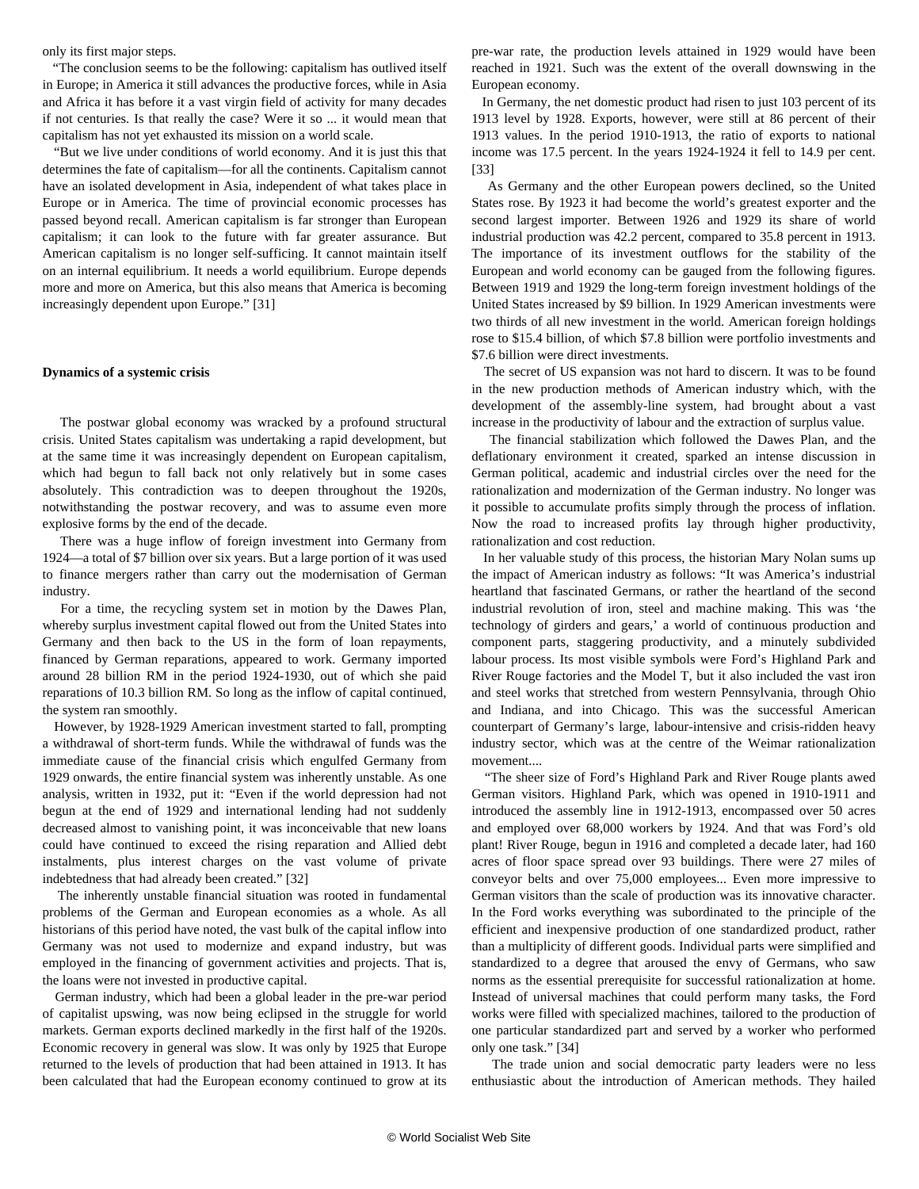only its first major steps.

 "The conclusion seems to be the following: capitalism has outlived itself in Europe; in America it still advances the productive forces, while in Asia and Africa it has before it a vast virgin field of activity for many decades if not centuries. Is that really the case? Were it so ... it would mean that capitalism has not yet exhausted its mission on a world scale.

 "But we live under conditions of world economy. And it is just this that determines the fate of capitalism—for all the continents. Capitalism cannot have an isolated development in Asia, independent of what takes place in Europe or in America. The time of provincial economic processes has passed beyond recall. American capitalism is far stronger than European capitalism; it can look to the future with far greater assurance. But American capitalism is no longer self-sufficing. It cannot maintain itself on an internal equilibrium. It needs a world equilibrium. Europe depends more and more on America, but this also means that America is becoming increasingly dependent upon Europe." [31]

#### **Dynamics of a systemic crisis**

 The postwar global economy was wracked by a profound structural crisis. United States capitalism was undertaking a rapid development, but at the same time it was increasingly dependent on European capitalism, which had begun to fall back not only relatively but in some cases absolutely. This contradiction was to deepen throughout the 1920s, notwithstanding the postwar recovery, and was to assume even more explosive forms by the end of the decade.

 There was a huge inflow of foreign investment into Germany from 1924—a total of \$7 billion over six years. But a large portion of it was used to finance mergers rather than carry out the modernisation of German industry.

 For a time, the recycling system set in motion by the Dawes Plan, whereby surplus investment capital flowed out from the United States into Germany and then back to the US in the form of loan repayments, financed by German reparations, appeared to work. Germany imported around 28 billion RM in the period 1924-1930, out of which she paid reparations of 10.3 billion RM. So long as the inflow of capital continued, the system ran smoothly.

 However, by 1928-1929 American investment started to fall, prompting a withdrawal of short-term funds. While the withdrawal of funds was the immediate cause of the financial crisis which engulfed Germany from 1929 onwards, the entire financial system was inherently unstable. As one analysis, written in 1932, put it: "Even if the world depression had not begun at the end of 1929 and international lending had not suddenly decreased almost to vanishing point, it was inconceivable that new loans could have continued to exceed the rising reparation and Allied debt instalments, plus interest charges on the vast volume of private indebtedness that had already been created." [32]

 The inherently unstable financial situation was rooted in fundamental problems of the German and European economies as a whole. As all historians of this period have noted, the vast bulk of the capital inflow into Germany was not used to modernize and expand industry, but was employed in the financing of government activities and projects. That is, the loans were not invested in productive capital.

 German industry, which had been a global leader in the pre-war period of capitalist upswing, was now being eclipsed in the struggle for world markets. German exports declined markedly in the first half of the 1920s. Economic recovery in general was slow. It was only by 1925 that Europe returned to the levels of production that had been attained in 1913. It has been calculated that had the European economy continued to grow at its

pre-war rate, the production levels attained in 1929 would have been reached in 1921. Such was the extent of the overall downswing in the European economy.

 In Germany, the net domestic product had risen to just 103 percent of its 1913 level by 1928. Exports, however, were still at 86 percent of their 1913 values. In the period 1910-1913, the ratio of exports to national income was 17.5 percent. In the years 1924-1924 it fell to 14.9 per cent. [33]

 As Germany and the other European powers declined, so the United States rose. By 1923 it had become the world's greatest exporter and the second largest importer. Between 1926 and 1929 its share of world industrial production was 42.2 percent, compared to 35.8 percent in 1913. The importance of its investment outflows for the stability of the European and world economy can be gauged from the following figures. Between 1919 and 1929 the long-term foreign investment holdings of the United States increased by \$9 billion. In 1929 American investments were two thirds of all new investment in the world. American foreign holdings rose to \$15.4 billion, of which \$7.8 billion were portfolio investments and \$7.6 billion were direct investments.

 The secret of US expansion was not hard to discern. It was to be found in the new production methods of American industry which, with the development of the assembly-line system, had brought about a vast increase in the productivity of labour and the extraction of surplus value.

 The financial stabilization which followed the Dawes Plan, and the deflationary environment it created, sparked an intense discussion in German political, academic and industrial circles over the need for the rationalization and modernization of the German industry. No longer was it possible to accumulate profits simply through the process of inflation. Now the road to increased profits lay through higher productivity, rationalization and cost reduction.

 In her valuable study of this process, the historian Mary Nolan sums up the impact of American industry as follows: "It was America's industrial heartland that fascinated Germans, or rather the heartland of the second industrial revolution of iron, steel and machine making. This was 'the technology of girders and gears,' a world of continuous production and component parts, staggering productivity, and a minutely subdivided labour process. Its most visible symbols were Ford's Highland Park and River Rouge factories and the Model T, but it also included the vast iron and steel works that stretched from western Pennsylvania, through Ohio and Indiana, and into Chicago. This was the successful American counterpart of Germany's large, labour-intensive and crisis-ridden heavy industry sector, which was at the centre of the Weimar rationalization movement....

 "The sheer size of Ford's Highland Park and River Rouge plants awed German visitors. Highland Park, which was opened in 1910-1911 and introduced the assembly line in 1912-1913, encompassed over 50 acres and employed over 68,000 workers by 1924. And that was Ford's old plant! River Rouge, begun in 1916 and completed a decade later, had 160 acres of floor space spread over 93 buildings. There were 27 miles of conveyor belts and over 75,000 employees... Even more impressive to German visitors than the scale of production was its innovative character. In the Ford works everything was subordinated to the principle of the efficient and inexpensive production of one standardized product, rather than a multiplicity of different goods. Individual parts were simplified and standardized to a degree that aroused the envy of Germans, who saw norms as the essential prerequisite for successful rationalization at home. Instead of universal machines that could perform many tasks, the Ford works were filled with specialized machines, tailored to the production of one particular standardized part and served by a worker who performed only one task." [34]

 The trade union and social democratic party leaders were no less enthusiastic about the introduction of American methods. They hailed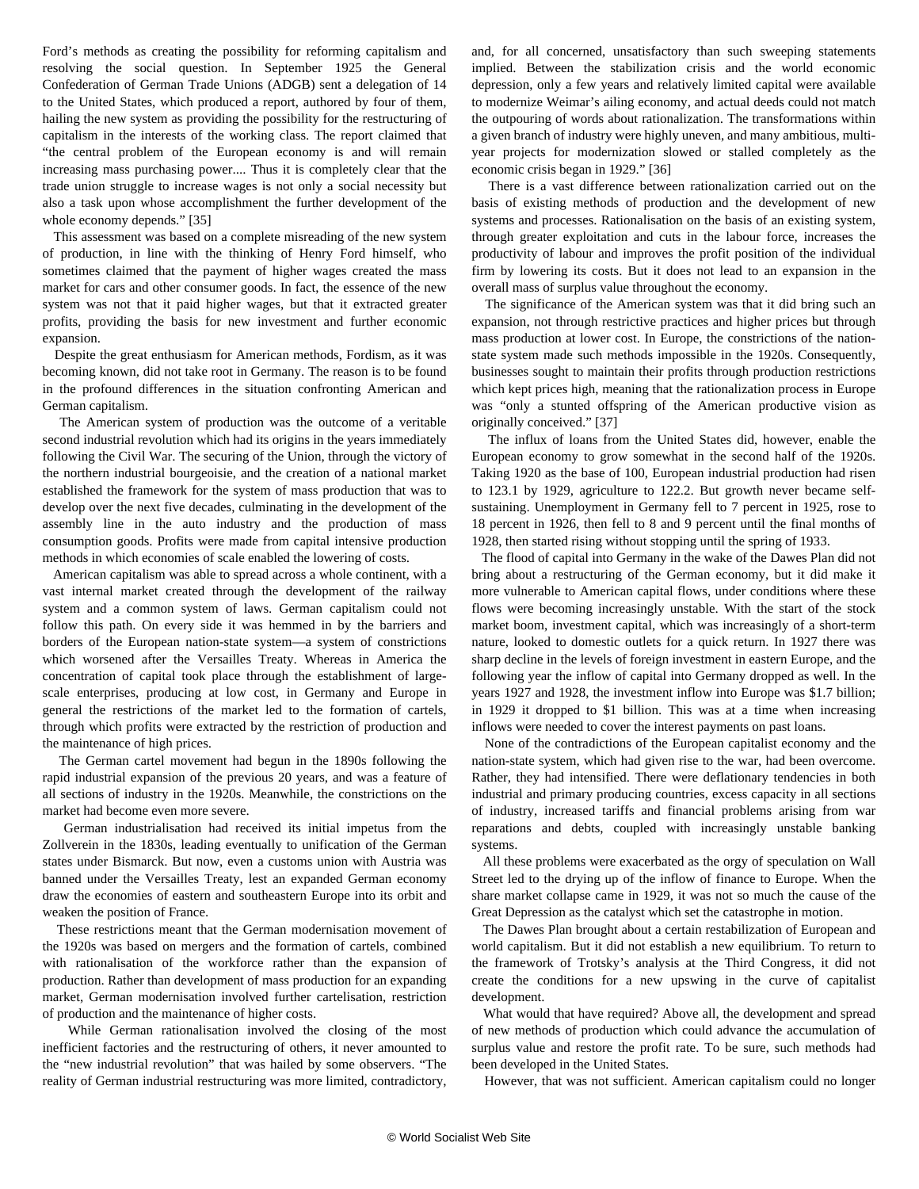Ford's methods as creating the possibility for reforming capitalism and resolving the social question. In September 1925 the General Confederation of German Trade Unions (ADGB) sent a delegation of 14 to the United States, which produced a report, authored by four of them, hailing the new system as providing the possibility for the restructuring of capitalism in the interests of the working class. The report claimed that "the central problem of the European economy is and will remain increasing mass purchasing power.... Thus it is completely clear that the trade union struggle to increase wages is not only a social necessity but also a task upon whose accomplishment the further development of the whole economy depends." [35]

 This assessment was based on a complete misreading of the new system of production, in line with the thinking of Henry Ford himself, who sometimes claimed that the payment of higher wages created the mass market for cars and other consumer goods. In fact, the essence of the new system was not that it paid higher wages, but that it extracted greater profits, providing the basis for new investment and further economic expansion.

 Despite the great enthusiasm for American methods, Fordism, as it was becoming known, did not take root in Germany. The reason is to be found in the profound differences in the situation confronting American and German capitalism.

 The American system of production was the outcome of a veritable second industrial revolution which had its origins in the years immediately following the Civil War. The securing of the Union, through the victory of the northern industrial bourgeoisie, and the creation of a national market established the framework for the system of mass production that was to develop over the next five decades, culminating in the development of the assembly line in the auto industry and the production of mass consumption goods. Profits were made from capital intensive production methods in which economies of scale enabled the lowering of costs.

 American capitalism was able to spread across a whole continent, with a vast internal market created through the development of the railway system and a common system of laws. German capitalism could not follow this path. On every side it was hemmed in by the barriers and borders of the European nation-state system—a system of constrictions which worsened after the Versailles Treaty. Whereas in America the concentration of capital took place through the establishment of largescale enterprises, producing at low cost, in Germany and Europe in general the restrictions of the market led to the formation of cartels, through which profits were extracted by the restriction of production and the maintenance of high prices.

 The German cartel movement had begun in the 1890s following the rapid industrial expansion of the previous 20 years, and was a feature of all sections of industry in the 1920s. Meanwhile, the constrictions on the market had become even more severe.

 German industrialisation had received its initial impetus from the Zollverein in the 1830s, leading eventually to unification of the German states under Bismarck. But now, even a customs union with Austria was banned under the Versailles Treaty, lest an expanded German economy draw the economies of eastern and southeastern Europe into its orbit and weaken the position of France.

 These restrictions meant that the German modernisation movement of the 1920s was based on mergers and the formation of cartels, combined with rationalisation of the workforce rather than the expansion of production. Rather than development of mass production for an expanding market, German modernisation involved further cartelisation, restriction of production and the maintenance of higher costs.

 While German rationalisation involved the closing of the most inefficient factories and the restructuring of others, it never amounted to the "new industrial revolution" that was hailed by some observers. "The reality of German industrial restructuring was more limited, contradictory,

and, for all concerned, unsatisfactory than such sweeping statements implied. Between the stabilization crisis and the world economic depression, only a few years and relatively limited capital were available to modernize Weimar's ailing economy, and actual deeds could not match the outpouring of words about rationalization. The transformations within a given branch of industry were highly uneven, and many ambitious, multiyear projects for modernization slowed or stalled completely as the economic crisis began in 1929." [36]

 There is a vast difference between rationalization carried out on the basis of existing methods of production and the development of new systems and processes. Rationalisation on the basis of an existing system, through greater exploitation and cuts in the labour force, increases the productivity of labour and improves the profit position of the individual firm by lowering its costs. But it does not lead to an expansion in the overall mass of surplus value throughout the economy.

 The significance of the American system was that it did bring such an expansion, not through restrictive practices and higher prices but through mass production at lower cost. In Europe, the constrictions of the nationstate system made such methods impossible in the 1920s. Consequently, businesses sought to maintain their profits through production restrictions which kept prices high, meaning that the rationalization process in Europe was "only a stunted offspring of the American productive vision as originally conceived." [37]

 The influx of loans from the United States did, however, enable the European economy to grow somewhat in the second half of the 1920s. Taking 1920 as the base of 100, European industrial production had risen to 123.1 by 1929, agriculture to 122.2. But growth never became selfsustaining. Unemployment in Germany fell to 7 percent in 1925, rose to 18 percent in 1926, then fell to 8 and 9 percent until the final months of 1928, then started rising without stopping until the spring of 1933.

 The flood of capital into Germany in the wake of the Dawes Plan did not bring about a restructuring of the German economy, but it did make it more vulnerable to American capital flows, under conditions where these flows were becoming increasingly unstable. With the start of the stock market boom, investment capital, which was increasingly of a short-term nature, looked to domestic outlets for a quick return. In 1927 there was sharp decline in the levels of foreign investment in eastern Europe, and the following year the inflow of capital into Germany dropped as well. In the years 1927 and 1928, the investment inflow into Europe was \$1.7 billion; in 1929 it dropped to \$1 billion. This was at a time when increasing inflows were needed to cover the interest payments on past loans.

 None of the contradictions of the European capitalist economy and the nation-state system, which had given rise to the war, had been overcome. Rather, they had intensified. There were deflationary tendencies in both industrial and primary producing countries, excess capacity in all sections of industry, increased tariffs and financial problems arising from war reparations and debts, coupled with increasingly unstable banking systems.

 All these problems were exacerbated as the orgy of speculation on Wall Street led to the drying up of the inflow of finance to Europe. When the share market collapse came in 1929, it was not so much the cause of the Great Depression as the catalyst which set the catastrophe in motion.

 The Dawes Plan brought about a certain restabilization of European and world capitalism. But it did not establish a new equilibrium. To return to the framework of Trotsky's analysis at the Third Congress, it did not create the conditions for a new upswing in the curve of capitalist development.

 What would that have required? Above all, the development and spread of new methods of production which could advance the accumulation of surplus value and restore the profit rate. To be sure, such methods had been developed in the United States.

However, that was not sufficient. American capitalism could no longer